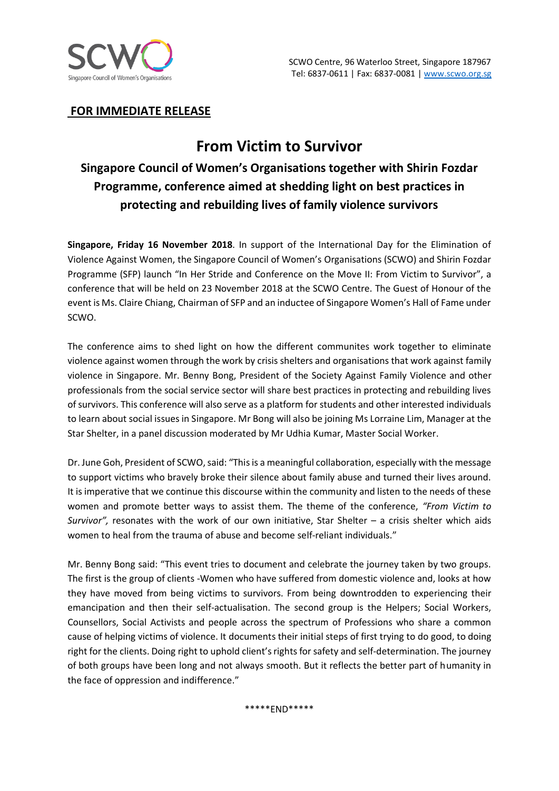

### **FOR IMMEDIATE RELEASE**

# **From Victim to Survivor**

# **Singapore Council of Women's Organisations together with Shirin Fozdar Programme, conference aimed at shedding light on best practices in protecting and rebuilding lives of family violence survivors**

**Singapore, Friday 16 November 2018**. In support of the International Day for the Elimination of Violence Against Women, the Singapore Council of Women's Organisations (SCWO) and Shirin Fozdar Programme (SFP) launch "In Her Stride and Conference on the Move II: From Victim to Survivor", a conference that will be held on 23 November 2018 at the SCWO Centre. The Guest of Honour of the event is Ms. Claire Chiang, Chairman of SFP and an inductee of Singapore Women's Hall of Fame under SCWO.

The conference aims to shed light on how the different communites work together to eliminate violence against women through the work by crisis shelters and organisations that work against family violence in Singapore. Mr. Benny Bong, President of the Society Against Family Violence and other professionals from the social service sector will share best practices in protecting and rebuilding lives of survivors. This conference will also serve as a platform for students and other interested individuals to learn about social issues in Singapore. Mr Bong will also be joining Ms Lorraine Lim, Manager at the Star Shelter, in a panel discussion moderated by Mr Udhia Kumar, Master Social Worker.

Dr. June Goh, President of SCWO, said: "This is a meaningful collaboration, especially with the message to support victims who bravely broke their silence about family abuse and turned their lives around. It is imperative that we continue this discourse within the community and listen to the needs of these women and promote better ways to assist them. The theme of the conference, *"From Victim to Survivor",* resonates with the work of our own initiative, Star Shelter – a crisis shelter which aids women to heal from the trauma of abuse and become self-reliant individuals."

Mr. Benny Bong said: "This event tries to document and celebrate the journey taken by two groups. The first is the group of clients -Women who have suffered from domestic violence and, looks at how they have moved from being victims to survivors. From being downtrodden to experiencing their emancipation and then their self-actualisation. The second group is the Helpers; Social Workers, Counsellors, Social Activists and people across the spectrum of Professions who share a common cause of helping victims of violence. It documents their initial steps of first trying to do good, to doing right for the clients. Doing right to uphold client's rights for safety and self-determination. The journey of both groups have been long and not always smooth. But it reflects the better part of humanity in the face of oppression and indifference."

\*\*\*\*\*END\*\*\*\*\*